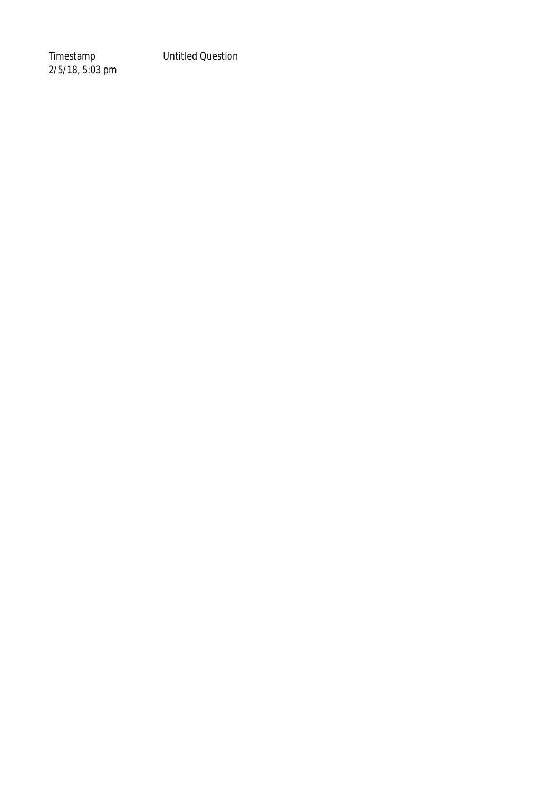Timestamp Untitled Question

2/5/18, 5:03 pm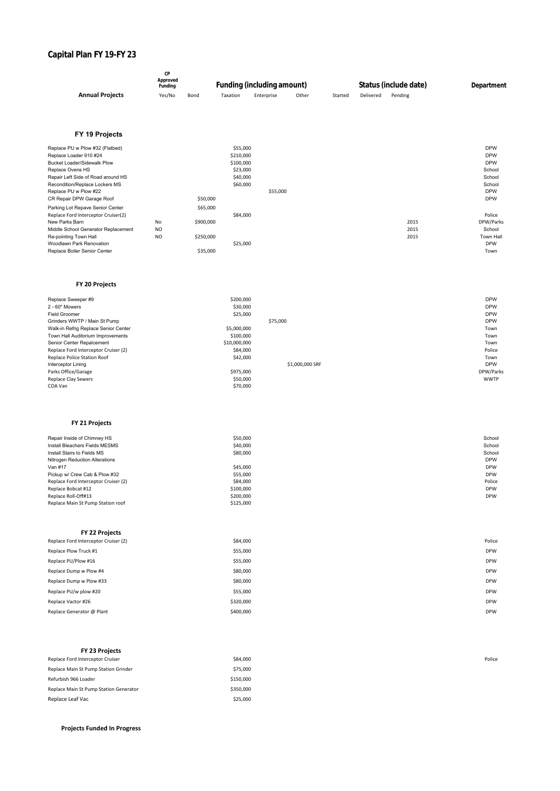# **Capital Plan FY 19-FY 23**

|                        | Approved<br>Funding |      | <b>Funding (including amount)</b> |            |       | Status (include date) | Department |         |  |
|------------------------|---------------------|------|-----------------------------------|------------|-------|-----------------------|------------|---------|--|
| <b>Annual Projects</b> | Yes/No              | Bond | Taxation                          | Enterprise | Other | Started               | Delivered  | Pending |  |

## **FY 19 Projects**

| Replace PU w Plow #32 (Flatbed)     |                |           | \$55,000  |          |      | <b>DPW</b> |
|-------------------------------------|----------------|-----------|-----------|----------|------|------------|
| Replace Loader 910 #24              |                |           | \$210,000 |          |      | <b>DPW</b> |
| Bucket Loader/Sidewalk Plow         |                |           | \$100,000 |          |      | <b>DPW</b> |
| Replace Ovens HS                    |                |           | \$23,000  |          |      | School     |
| Repair Left Side of Road around HS  |                |           | \$40,000  |          |      | School     |
| Recondition/Replace Lockers MS      |                |           | \$60,000  |          |      | School     |
| Replace PU w Plow #22               |                |           |           | \$55,000 |      | <b>DPW</b> |
| CR Repair DPW Garage Roof           |                | \$50,000  |           |          |      | <b>DPW</b> |
| Parking Lot Repave Senior Center    |                | \$65,000  |           |          |      |            |
| Replace Ford Interceptor Cruiser(2) |                |           | \$84,000  |          |      | Police     |
| New Parks Barn                      | No             | \$900,000 |           |          | 2015 | DPW/Parks  |
| Middle School Generator Replacement | N <sub>O</sub> |           |           |          | 2015 | School     |
| Re-pointing Town Hall               | N <sub>O</sub> | \$250,000 |           |          | 2015 | Town Hall  |
| Woodlawn Park Renovation            |                |           | \$25,000  |          |      | <b>DPW</b> |
| Replace Boiler Senior Center        |                | \$35,000  |           |          |      | Town       |

## **FY 20 Projects**

| Replace Sweeper #9                   | \$200,000    |                 | <b>DPW</b>  |
|--------------------------------------|--------------|-----------------|-------------|
|                                      |              |                 |             |
| 2 - 60" Mowers                       | \$30,000     |                 | <b>DPW</b>  |
| <b>Field Groomer</b>                 | \$25,000     |                 | <b>DPW</b>  |
| Grinders WWTP / Main St Pump         |              | \$75,000        | <b>DPW</b>  |
| Walk-in Refrig Replace Senior Center | \$5,000,000  |                 | Town        |
| Town Hall Auditorium Improvements    | \$100,000    |                 | Town        |
| Senior Center Repalcement            | \$10,000,000 |                 | Town        |
| Replace Ford Interceptor Cruiser (2) | \$84,000     |                 | Police      |
| Replace Police Station Roof          | \$42,000     |                 | Town        |
| Interceptor Lining                   |              | \$1,000,000 SRF | <b>DPW</b>  |
| Parks Office/Garage                  | \$975,000    |                 | DPW/Parks   |
| <b>Replace Clay Sewers</b>           | \$50,000     |                 | <b>WWTP</b> |
| COA Van                              | \$70,000     |                 |             |

## **FY 21 Projects**

| Repair Inside of Chimney HS          | \$50,000  | School     |
|--------------------------------------|-----------|------------|
| Install Bleachers Fields MESMS       | \$40,000  | School     |
| Install Stairs to Fields MS          | \$80,000  | School     |
| Nitrogen Reduction Alterations       |           | <b>DPW</b> |
| Van #17                              | \$45,000  | <b>DPW</b> |
| Pickup w/ Crew Cab & Plow #32        | \$55,000  | <b>DPW</b> |
| Replace Ford Interceptor Cruiser (2) | \$84,000  | Police     |
| Replace Bobcat #12                   | \$100,000 | <b>DPW</b> |
| Replace Roll-Off#13                  | \$200,000 | <b>DPW</b> |
| Replace Main St Pump Station roof    | \$125,000 |            |

| FY 22 Projects                       |           |            |
|--------------------------------------|-----------|------------|
|                                      |           |            |
| Replace Ford Interceptor Cruiser (2) | \$84,000  | Police     |
| Replace Plow Truck #1                | \$55,000  | <b>DPW</b> |
| Replace PU/Plow #16                  | \$55,000  | <b>DPW</b> |
| Replace Dump w Plow #4               | \$80,000  | <b>DPW</b> |
| Replace Dump w Plow #33              | \$80,000  | <b>DPW</b> |
| Replace PU/w plow #20                | \$55,000  | <b>DPW</b> |
| Replace Vactor #26                   | \$320,000 | <b>DPW</b> |
| Replace Generator @ Plant            | \$400,000 | <b>DPW</b> |

| <b>FY 23 Projects</b>                  |           |  |
|----------------------------------------|-----------|--|
| Replace Ford Interceptor Cruiser       | \$84,000  |  |
| Replace Main St Pump Station Grinder   | \$75,000  |  |
| Refurbish 966 Loader                   | \$150,000 |  |
| Replace Main St Pump Station Generator | \$350,000 |  |
| Replace Leaf Vac                       | \$25,000  |  |

# **Projects Funded In Progress**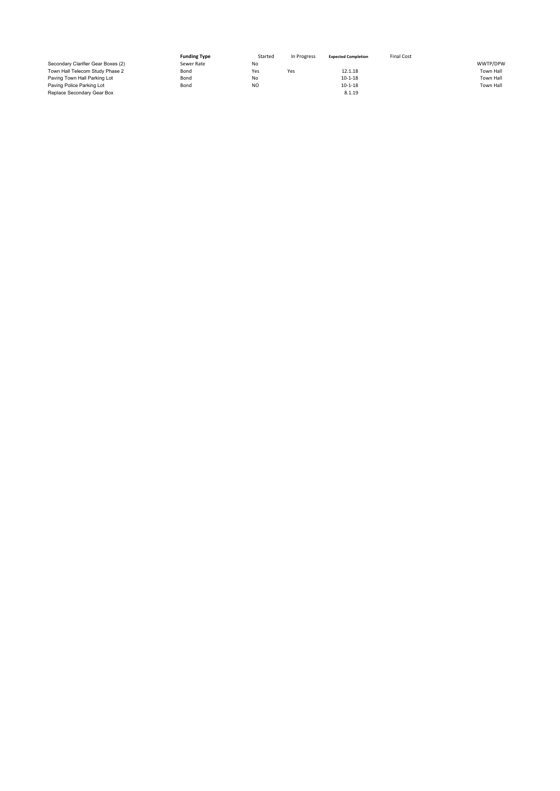|                                    | <b>Funding Type</b> | Started   | In Progress | <b>Expected Completion</b> | <b>Final Cost</b> |           |
|------------------------------------|---------------------|-----------|-------------|----------------------------|-------------------|-----------|
| Secondary Clarifier Gear Boxes (2) | Sewer Rate          | No        |             |                            |                   | WWTP/DPW  |
| Town Hall Telecom Study Phase 2    | Bond                | Yes       | Yes         | 12.1.18                    |                   | Town Hall |
| Paving Town Hall Parking Lot       | Bond                | No        |             | $10 - 1 - 18$              |                   | Town Hall |
| Paving Police Parking Lot          | Bond                | <b>NO</b> |             | $10 - 1 - 18$              |                   | Town Hall |
| Replace Secondary Gear Box         |                     |           |             | 8.1.19                     |                   |           |